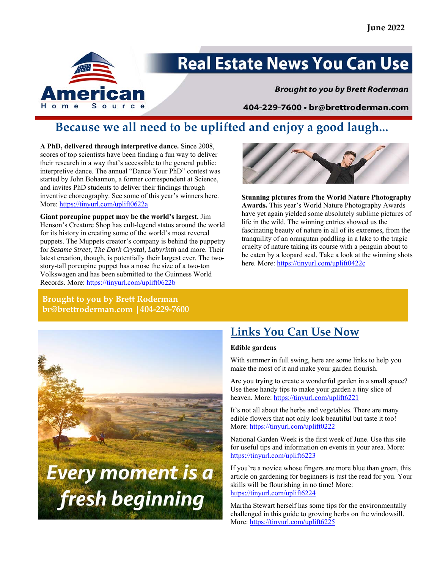

# **Real Estate News You Can Use**

**Brought to you by Brett Roderman** 

404-229-7600 · br@brettroderman.com

## **Because we all need to be uplifted and enjoy a good laugh...**

**A PhD, delivered through interpretive dance.** Since 2008, scores of top scientists have been finding a fun way to deliver their research in a way that's accessible to the general public: interpretive dance. The annual "Dance Your PhD" contest was started by John Bohannon, a former correspondent at Science, and invites PhD students to deliver their findings through inventive choreography. See some of this year's winners here. More: https://tinyurl.com/uplift0622a

**Giant porcupine puppet may be the world's largest.** Jim Henson's Creature Shop has cult-legend status around the world for its history in creating some of the world's most revered puppets. The Muppets creator's company is behind the puppetry for *Sesame Street, The Dark Crystal, Labyrinth* and more. Their latest creation, though, is potentially their largest ever. The twostory-tall porcupine puppet has a nose the size of a two-ton Volkswagen and has been submitted to the Guinness World Records. More: https://tinyurl.com/uplift0622b



**Stunning pictures from the World Nature Photography Awards.** This year's World Nature Photography Awards have yet again yielded some absolutely sublime pictures of life in the wild. The winning entries showed us the fascinating beauty of nature in all of its extremes, from the tranquility of an orangutan paddling in a lake to the tragic cruelty of nature taking its course with a penguin about to be eaten by a leopard seal. Take a look at the winning shots here. More: https://tinyurl.com/uplift0422c

### **Brought to you by Brett Roderman br@brettroderman.com |404-229-7600**



### **Links You Can Use Now**

### **Edible gardens**

With summer in full swing, here are some links to help you make the most of it and make your garden flourish.

Are you trying to create a wonderful garden in a small space? Use these handy tips to make your garden a tiny slice of heaven. More: https://tinyurl.com/uplift6221

It's not all about the herbs and vegetables. There are many edible flowers that not only look beautiful but taste it too! More: https://tinyurl.com/uplift0222

National Garden Week is the first week of June. Use this site for useful tips and information on events in your area. More: https://tinyurl.com/uplift6223

If you're a novice whose fingers are more blue than green, this article on gardening for beginners is just the read for you. Your skills will be flourishing in no time! More: https://tinyurl.com/uplift6224

Martha Stewart herself has some tips for the environmentally challenged in this guide to growing herbs on the windowsill. More: https://tinyurl.com/uplift6225